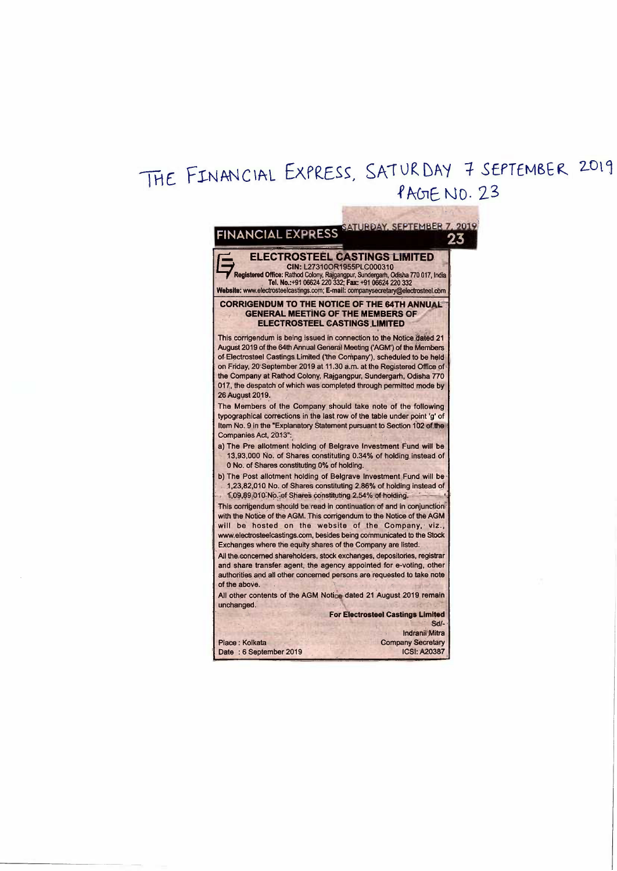## THE FINANCIAL EXPRESS, SATURDAY 7 SEPTEMBER 2019 PAGE NO. 23